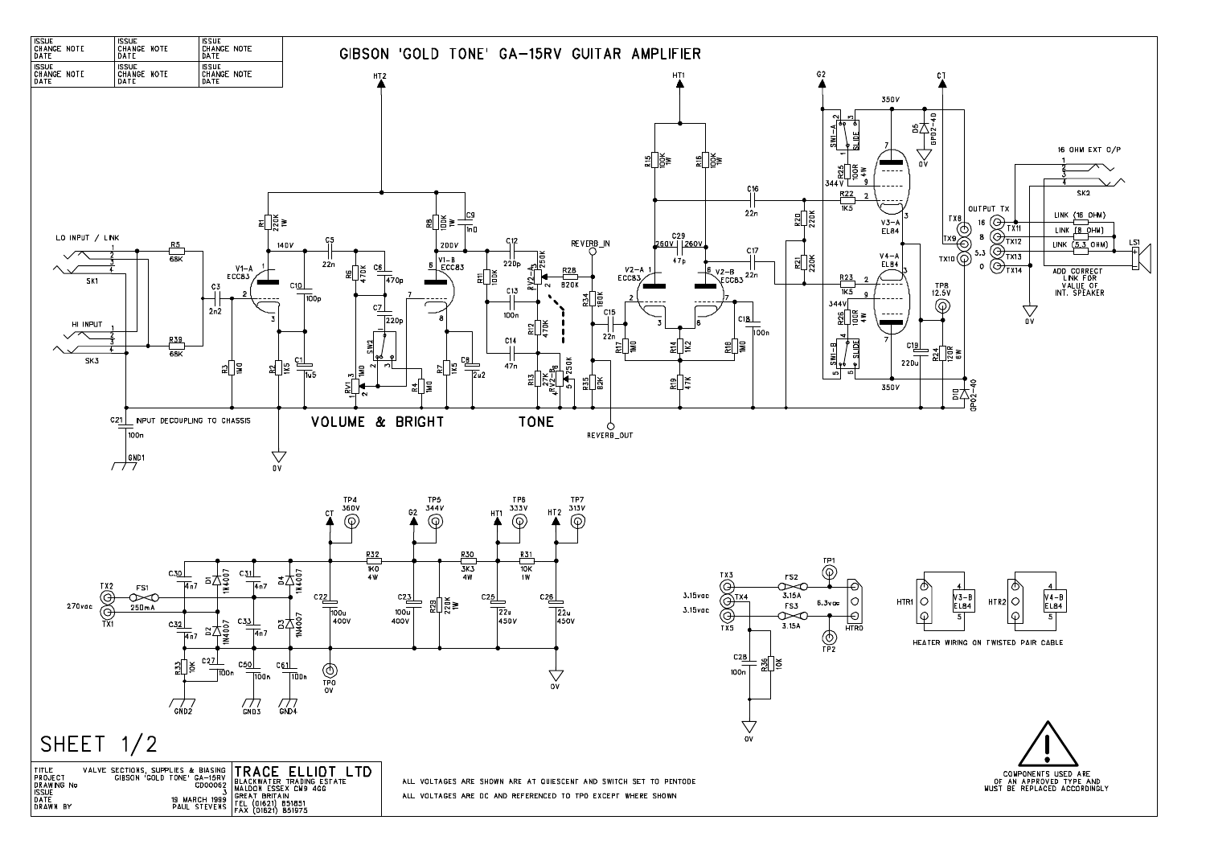

| TITLE<br><b>PROJECT</b><br><b>DRAWING No</b><br><b>ISSUE</b><br>DATE<br>DRAWN BY | VALVE SECTIONS, SUPPLIES & BIASING <b>ITRACE</b> ELLIDT<br>GIBSON GOLD TONE' GA-15RV<br><b>CD00062</b><br>19 MARCH 1999 | 1 H)<br>BLACKWATER TRADING ESTATE<br>MALDON ESSEX CM9 4GG<br><b>GREAT BRITAIN</b><br>B MARCH 1999   TEL (01621) 851851<br>PAUL STEVENS   FAX (01621) 851975<br>(01621) 851975 |
|----------------------------------------------------------------------------------|-------------------------------------------------------------------------------------------------------------------------|-------------------------------------------------------------------------------------------------------------------------------------------------------------------------------|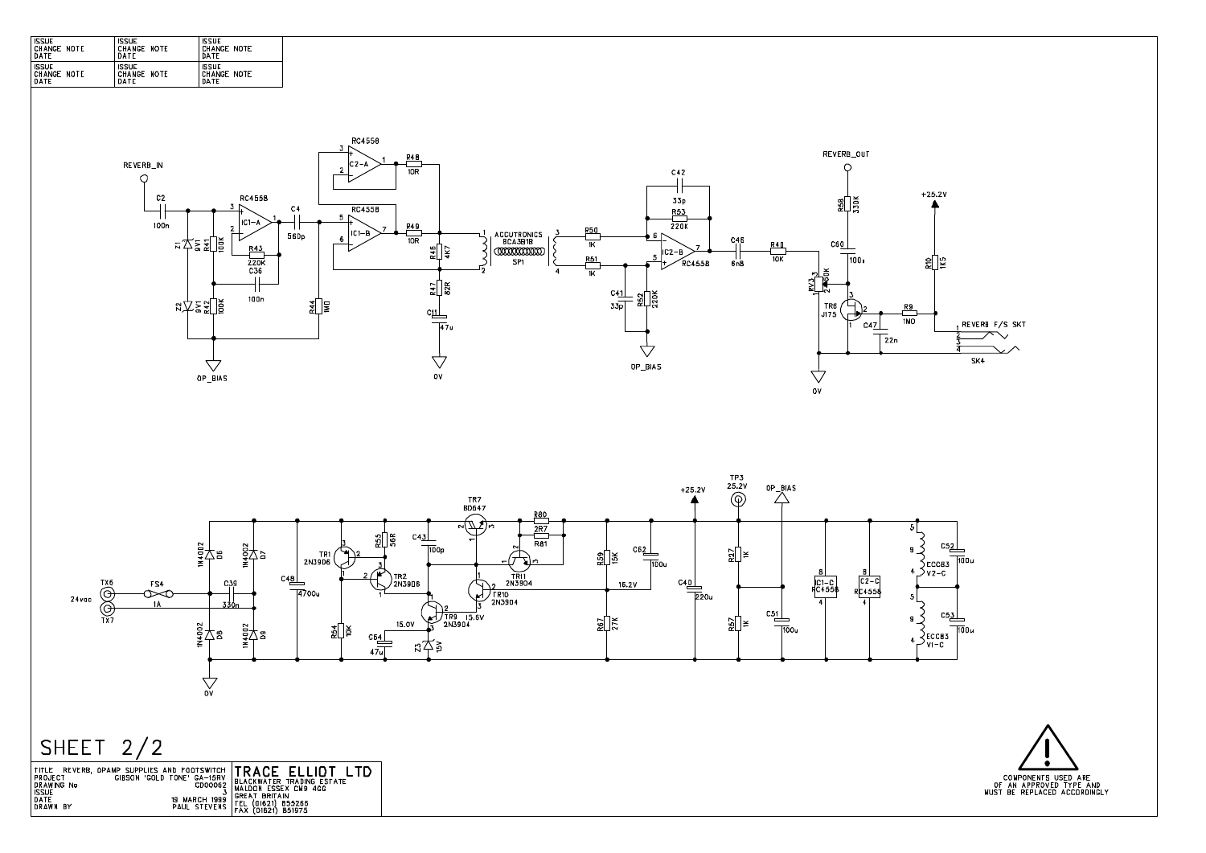| <b>ISSUE</b> | <b>ISSUE</b> | <b>ISSILE</b>      |
|--------------|--------------|--------------------|
| CHANGE NOTE  | CHANGE NOTE  | <b>CHANGE NOTE</b> |
| DATE         | DATE         | DATF               |
| <b>ISSUE</b> | <b>ISSUE</b> | <b>ISSUE</b>       |
| CHANGE NOTE  | CHANGE NOTE  | CHANGE NOTE        |
| <b>DATE</b>  | DATE         | <b>DATF</b>        |





# SHEET  $2/2$

| REVERB.<br>I TITLE.<br><b>PROJECT</b>            | , OPAMP SUPPLIES AND FOOTSWITCH $\sf{TRACE}$ ELLIDT.<br>'GOLD TONE' GA-15RV<br>GIASON | BLACKWATER TRADING ESTATE                    |
|--------------------------------------------------|---------------------------------------------------------------------------------------|----------------------------------------------|
| <b>DRAWING No</b><br><b>ISSUE</b><br><b>DATE</b> | <b>CD00062</b><br>ت<br>19 MARCH 1999                                                  | MALDON ESSEX CM9 4GG<br><b>GREAT BRITAIN</b> |
| <b>DRAWN</b><br>BY                               | PAUL STEVENS FEL                                                                      | (01621) 855266<br>(01621) 851975             |

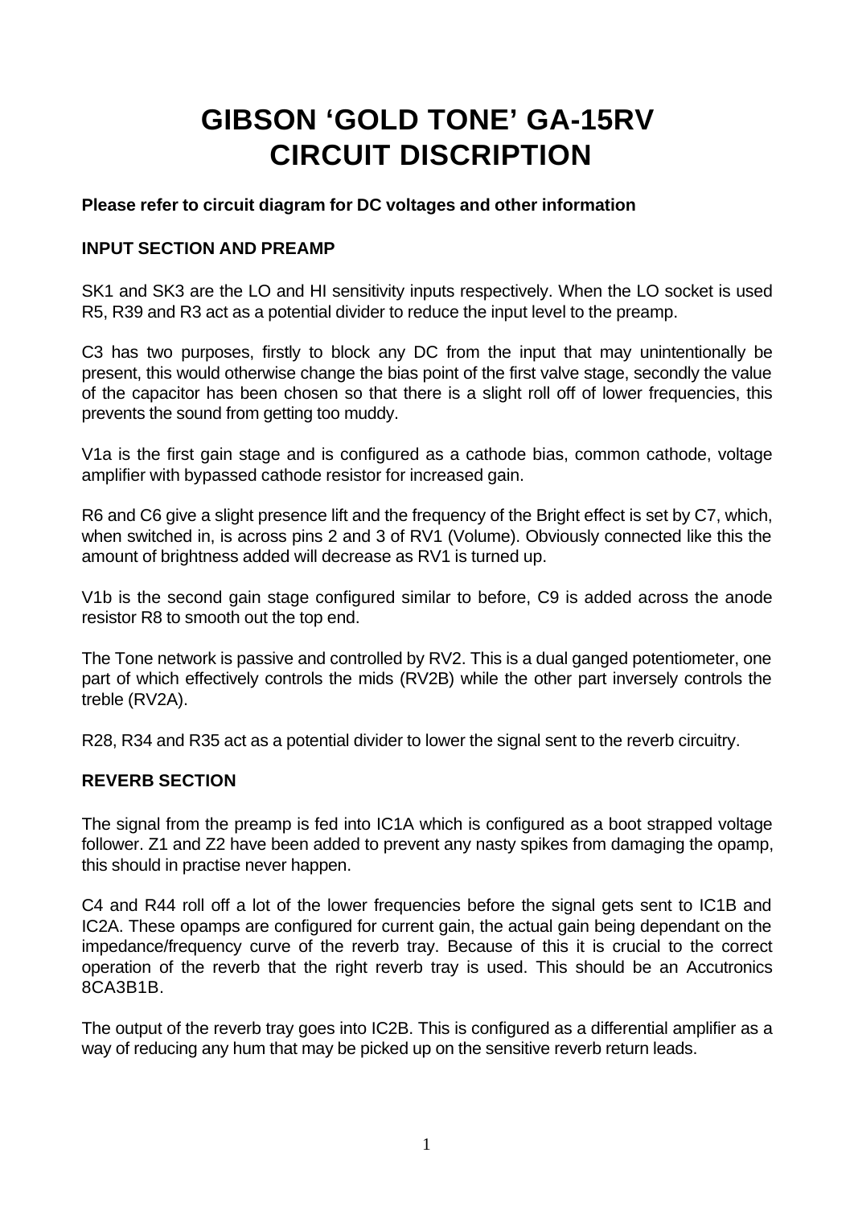## **GIBSON 'GOLD TONE' GA-15RV CIRCUIT DISCRIPTION**

#### **Please refer to circuit diagram for DC voltages and other information**

#### **INPUT SECTION AND PREAMP**

SK1 and SK3 are the LO and HI sensitivity inputs respectively. When the LO socket is used R5, R39 and R3 act as a potential divider to reduce the input level to the preamp.

C3 has two purposes, firstly to block any DC from the input that may unintentionally be present, this would otherwise change the bias point of the first valve stage, secondly the value of the capacitor has been chosen so that there is a slight roll off of lower frequencies, this prevents the sound from getting too muddy.

V1a is the first gain stage and is configured as a cathode bias, common cathode, voltage amplifier with bypassed cathode resistor for increased gain.

R6 and C6 give a slight presence lift and the frequency of the Bright effect is set by C7, which, when switched in, is across pins 2 and 3 of RV1 (Volume). Obviously connected like this the amount of brightness added will decrease as RV1 is turned up.

V1b is the second gain stage configured similar to before, C9 is added across the anode resistor R8 to smooth out the top end.

The Tone network is passive and controlled by RV2. This is a dual ganged potentiometer, one part of which effectively controls the mids (RV2B) while the other part inversely controls the treble (RV2A).

R28, R34 and R35 act as a potential divider to lower the signal sent to the reverb circuitry.

#### **REVERB SECTION**

The signal from the preamp is fed into IC1A which is configured as a boot strapped voltage follower. Z1 and Z2 have been added to prevent any nasty spikes from damaging the opamp, this should in practise never happen.

C4 and R44 roll off a lot of the lower frequencies before the signal gets sent to IC1B and IC2A. These opamps are configured for current gain, the actual gain being dependant on the impedance/frequency curve of the reverb tray. Because of this it is crucial to the correct operation of the reverb that the right reverb tray is used. This should be an Accutronics 8CA3B1B.

The output of the reverb tray goes into IC2B. This is configured as a differential amplifier as a way of reducing any hum that may be picked up on the sensitive reverb return leads.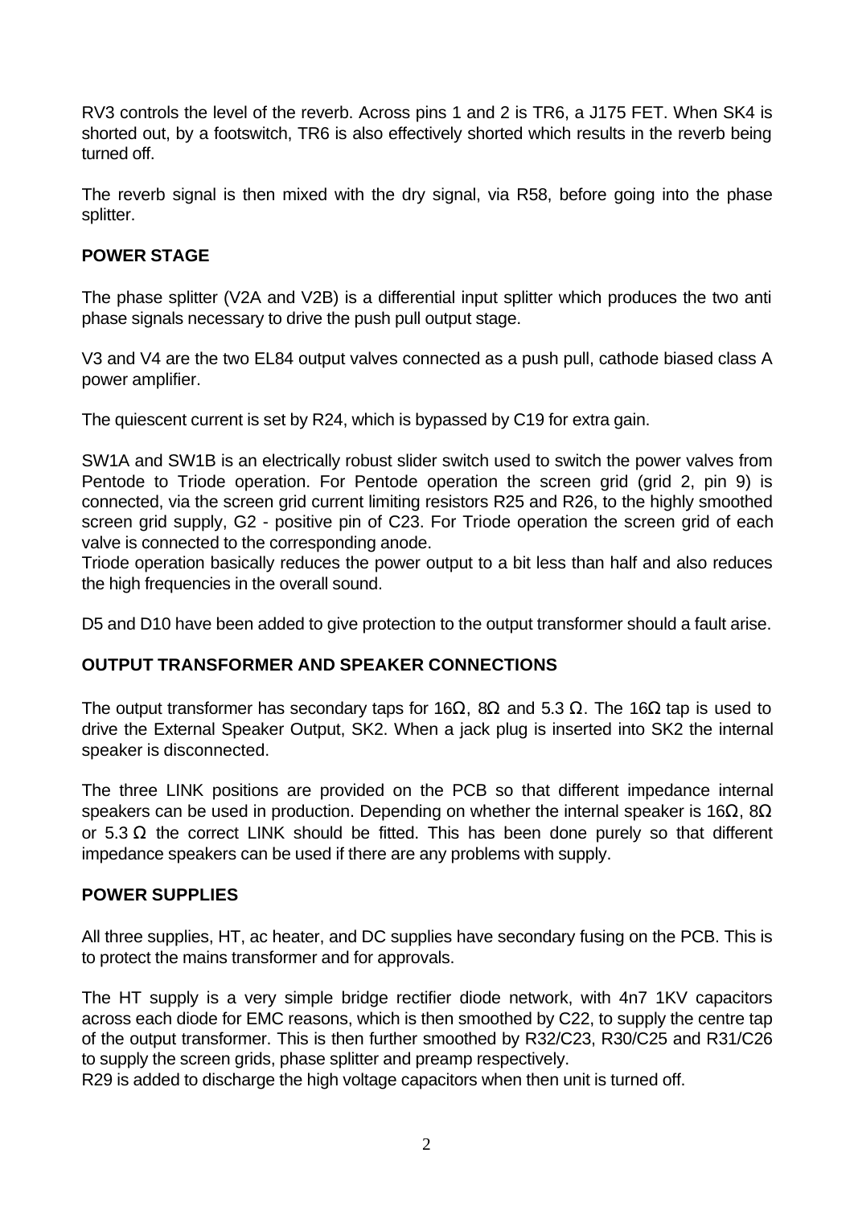RV3 controls the level of the reverb. Across pins 1 and 2 is TR6, a J175 FET. When SK4 is shorted out, by a footswitch, TR6 is also effectively shorted which results in the reverb being turned off.

The reverb signal is then mixed with the dry signal, via R58, before going into the phase splitter.

#### **POWER STAGE**

The phase splitter (V2A and V2B) is a differential input splitter which produces the two anti phase signals necessary to drive the push pull output stage.

V3 and V4 are the two EL84 output valves connected as a push pull, cathode biased class A power amplifier.

The quiescent current is set by R24, which is bypassed by C19 for extra gain.

SW1A and SW1B is an electrically robust slider switch used to switch the power valves from Pentode to Triode operation. For Pentode operation the screen grid (grid 2, pin 9) is connected, via the screen grid current limiting resistors R25 and R26, to the highly smoothed screen grid supply, G2 - positive pin of C23. For Triode operation the screen grid of each valve is connected to the corresponding anode.

Triode operation basically reduces the power output to a bit less than half and also reduces the high frequencies in the overall sound.

D5 and D10 have been added to give protection to the output transformer should a fault arise.

#### **OUTPUT TRANSFORMER AND SPEAKER CONNECTIONS**

The output transformer has secondary taps for 16 $\Omega$ , 8 $\Omega$  and 5.3  $\Omega$ . The 16 $\Omega$  tap is used to drive the External Speaker Output, SK2. When a jack plug is inserted into SK2 the internal speaker is disconnected.

The three LINK positions are provided on the PCB so that different impedance internal speakers can be used in production. Depending on whether the internal speaker is 16 $\Omega$ , 8 $\Omega$ or 5.3  $\Omega$  the correct LINK should be fitted. This has been done purely so that different impedance speakers can be used if there are any problems with supply.

#### **POWER SUPPLIES**

All three supplies, HT, ac heater, and DC supplies have secondary fusing on the PCB. This is to protect the mains transformer and for approvals.

The HT supply is a very simple bridge rectifier diode network, with 4n7 1KV capacitors across each diode for EMC reasons, which is then smoothed by C22, to supply the centre tap of the output transformer. This is then further smoothed by R32/C23, R30/C25 and R31/C26 to supply the screen grids, phase splitter and preamp respectively.

R29 is added to discharge the high voltage capacitors when then unit is turned off.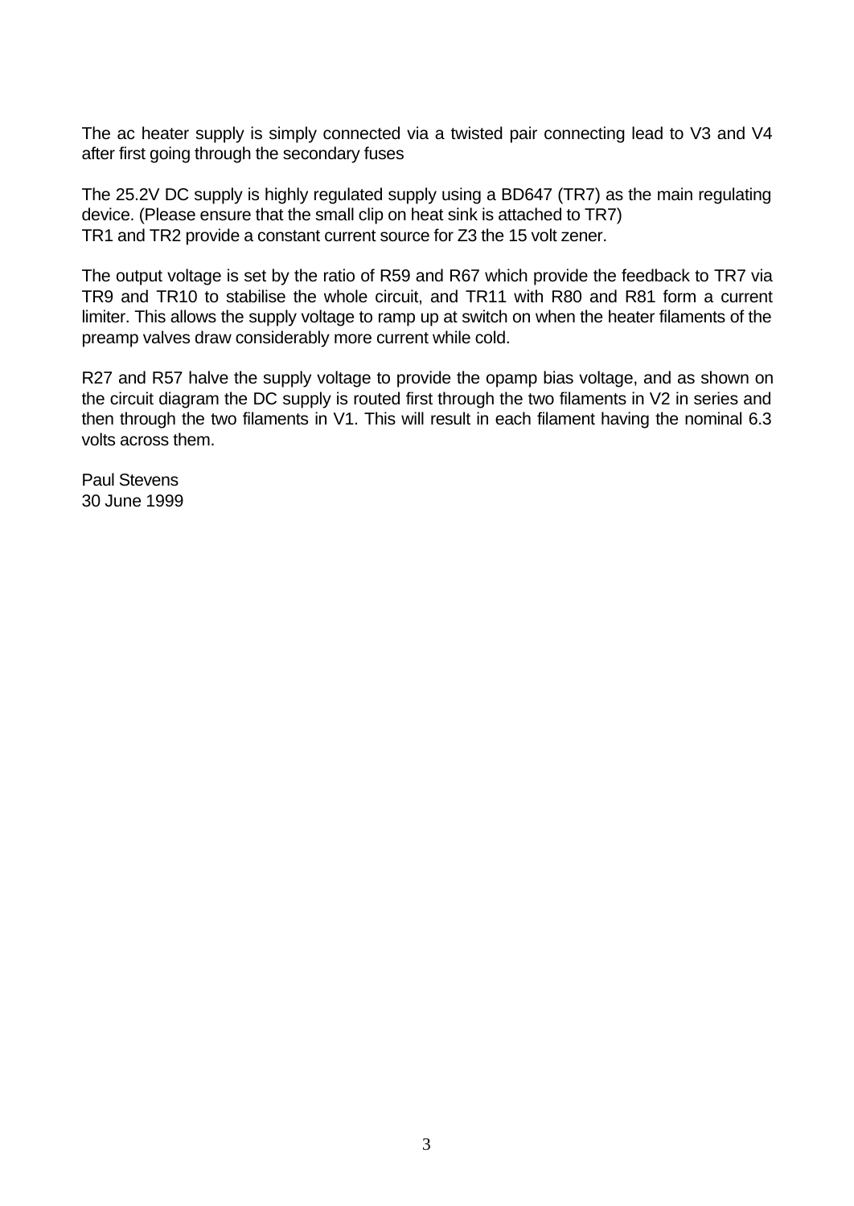The ac heater supply is simply connected via a twisted pair connecting lead to V3 and V4 after first going through the secondary fuses

The 25.2V DC supply is highly regulated supply using a BD647 (TR7) as the main regulating device. (Please ensure that the small clip on heat sink is attached to TR7) TR1 and TR2 provide a constant current source for Z3 the 15 volt zener.

The output voltage is set by the ratio of R59 and R67 which provide the feedback to TR7 via TR9 and TR10 to stabilise the whole circuit, and TR11 with R80 and R81 form a current limiter. This allows the supply voltage to ramp up at switch on when the heater filaments of the preamp valves draw considerably more current while cold.

R27 and R57 halve the supply voltage to provide the opamp bias voltage, and as shown on the circuit diagram the DC supply is routed first through the two filaments in V2 in series and then through the two filaments in V1. This will result in each filament having the nominal 6.3 volts across them.

Paul Stevens 30 June 1999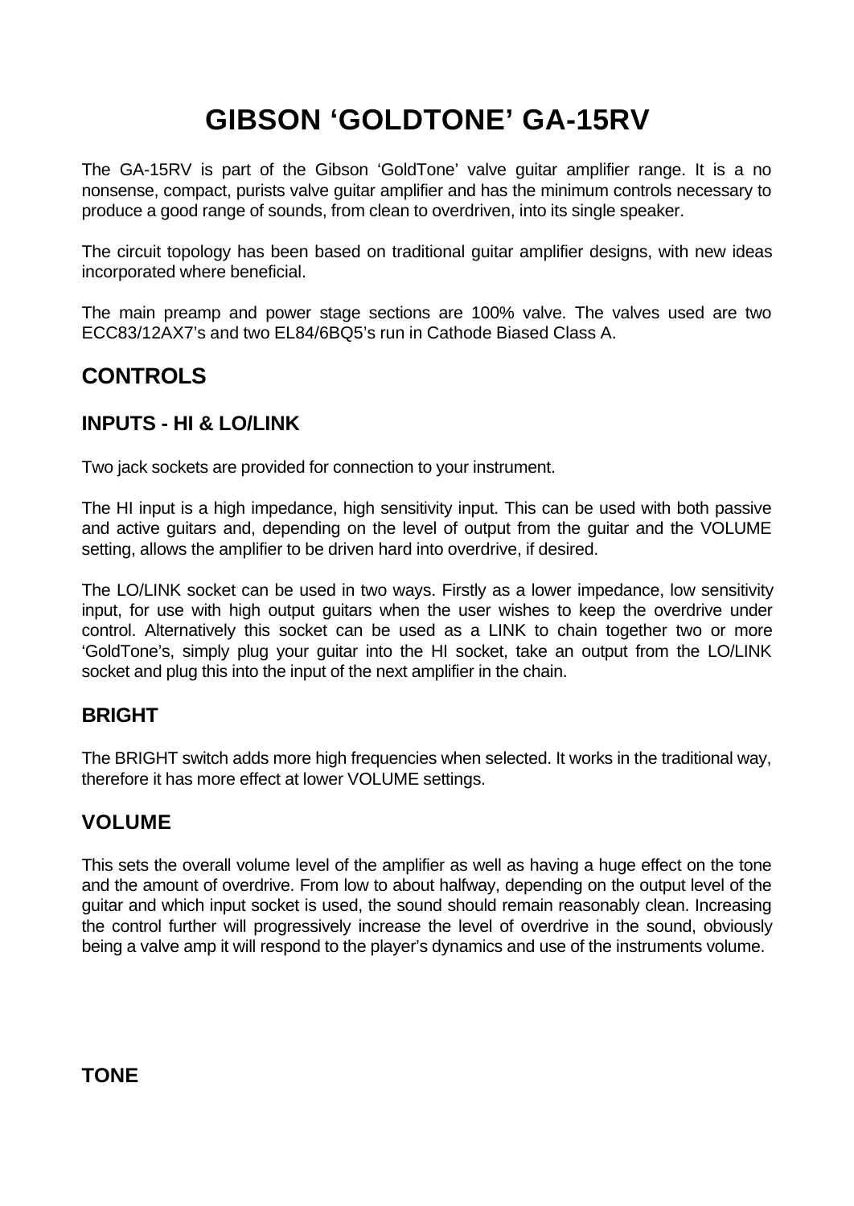# **GIBSON 'GOLDTONE' GA-15RV**

The GA-15RV is part of the Gibson 'GoldTone' valve guitar amplifier range. It is a no nonsense, compact, purists valve guitar amplifier and has the minimum controls necessary to produce a good range of sounds, from clean to overdriven, into its single speaker.

The circuit topology has been based on traditional guitar amplifier designs, with new ideas incorporated where beneficial.

The main preamp and power stage sections are 100% valve. The valves used are two ECC83/12AX7's and two EL84/6BQ5's run in Cathode Biased Class A.

## **CONTROLS**

#### **INPUTS - HI & LO/LINK**

Two jack sockets are provided for connection to your instrument.

The HI input is a high impedance, high sensitivity input. This can be used with both passive and active guitars and, depending on the level of output from the guitar and the VOLUME setting, allows the amplifier to be driven hard into overdrive, if desired.

The LO/LINK socket can be used in two ways. Firstly as a lower impedance, low sensitivity input, for use with high output guitars when the user wishes to keep the overdrive under control. Alternatively this socket can be used as a LINK to chain together two or more 'GoldTone's, simply plug your guitar into the HI socket, take an output from the LO/LINK socket and plug this into the input of the next amplifier in the chain.

#### **BRIGHT**

The BRIGHT switch adds more high frequencies when selected. It works in the traditional way, therefore it has more effect at lower VOLUME settings.

#### **VOLUME**

This sets the overall volume level of the amplifier as well as having a huge effect on the tone and the amount of overdrive. From low to about halfway, depending on the output level of the guitar and which input socket is used, the sound should remain reasonably clean. Increasing the control further will progressively increase the level of overdrive in the sound, obviously being a valve amp it will respond to the player's dynamics and use of the instruments volume.

**TONE**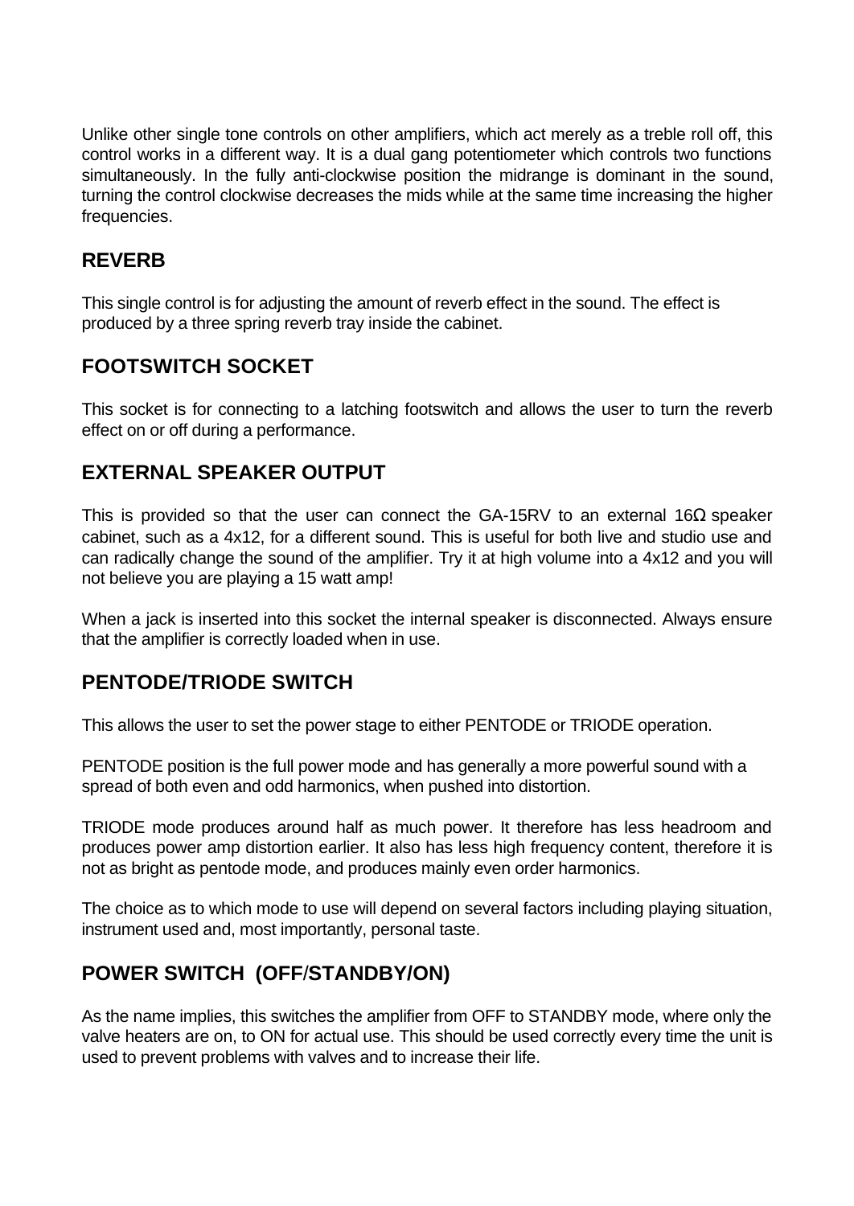Unlike other single tone controls on other amplifiers, which act merely as a treble roll off, this control works in a different way. It is a dual gang potentiometer which controls two functions simultaneously. In the fully anti-clockwise position the midrange is dominant in the sound, turning the control clockwise decreases the mids while at the same time increasing the higher frequencies.

#### **REVERB**

This single control is for adjusting the amount of reverb effect in the sound. The effect is produced by a three spring reverb tray inside the cabinet.

## **FOOTSWITCH SOCKET**

This socket is for connecting to a latching footswitch and allows the user to turn the reverb effect on or off during a performance.

## **EXTERNAL SPEAKER OUTPUT**

This is provided so that the user can connect the GA-15RV to an external 16 $\Omega$  speaker cabinet, such as a 4x12, for a different sound. This is useful for both live and studio use and can radically change the sound of the amplifier. Try it at high volume into a 4x12 and you will not believe you are playing a 15 watt amp!

When a jack is inserted into this socket the internal speaker is disconnected. Always ensure that the amplifier is correctly loaded when in use.

#### **PENTODE/TRIODE SWITCH**

This allows the user to set the power stage to either PENTODE or TRIODE operation.

PENTODE position is the full power mode and has generally a more powerful sound with a spread of both even and odd harmonics, when pushed into distortion.

TRIODE mode produces around half as much power. It therefore has less headroom and produces power amp distortion earlier. It also has less high frequency content, therefore it is not as bright as pentode mode, and produces mainly even order harmonics.

The choice as to which mode to use will depend on several factors including playing situation, instrument used and, most importantly, personal taste.

## **POWER SWITCH (OFF**/**STANDBY/ON)**

As the name implies, this switches the amplifier from OFF to STANDBY mode, where only the valve heaters are on, to ON for actual use. This should be used correctly every time the unit is used to prevent problems with valves and to increase their life.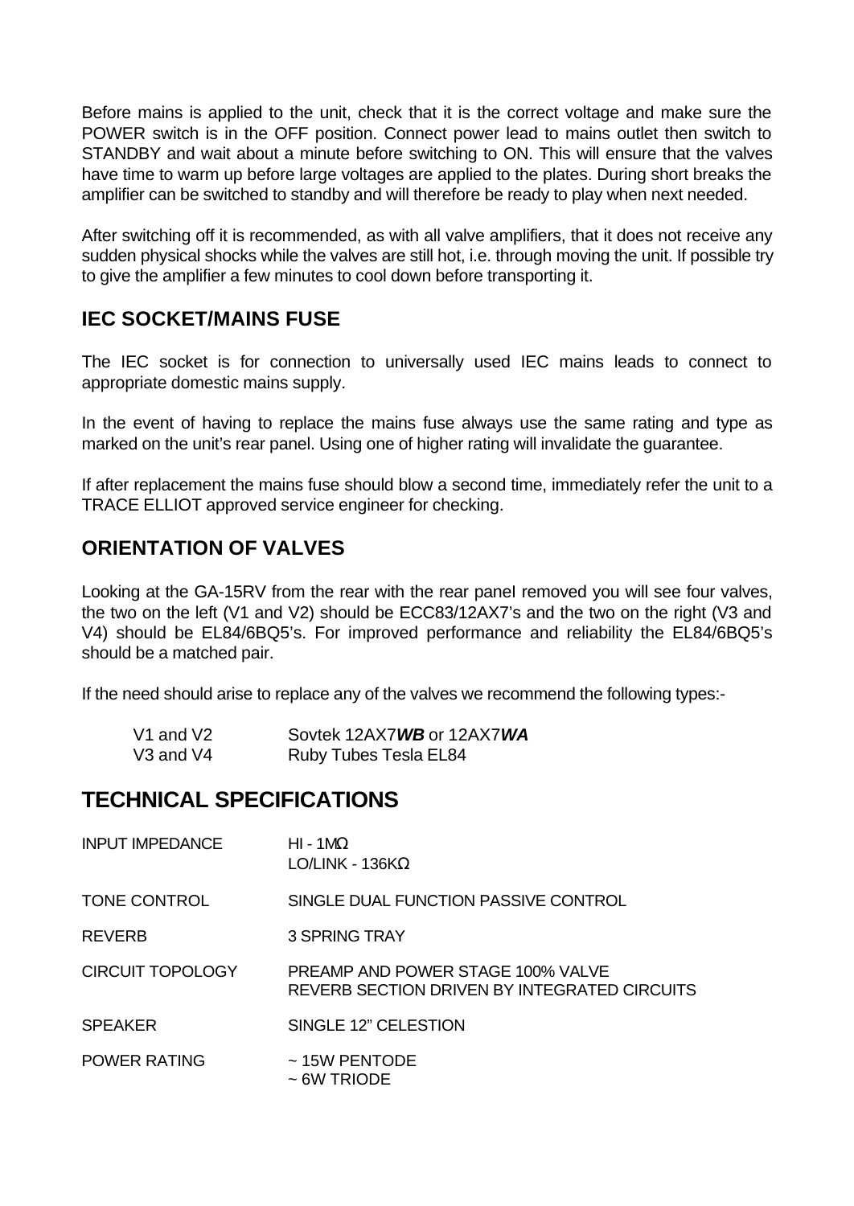Before mains is applied to the unit, check that it is the correct voltage and make sure the POWER switch is in the OFF position. Connect power lead to mains outlet then switch to STANDBY and wait about a minute before switching to ON. This will ensure that the valves have time to warm up before large voltages are applied to the plates. During short breaks the amplifier can be switched to standby and will therefore be ready to play when next needed.

After switching off it is recommended, as with all valve amplifiers, that it does not receive any sudden physical shocks while the valves are still hot, i.e. through moving the unit. If possible try to give the amplifier a few minutes to cool down before transporting it.

## **IEC SOCKET/MAINS FUSE**

The IEC socket is for connection to universally used IEC mains leads to connect to appropriate domestic mains supply.

In the event of having to replace the mains fuse always use the same rating and type as marked on the unit's rear panel. Using one of higher rating will invalidate the guarantee.

If after replacement the mains fuse should blow a second time, immediately refer the unit to a TRACE ELLIOT approved service engineer for checking.

## **ORIENTATION OF VALVES**

Looking at the GA-15RV from the rear with the rear panel removed you will see four valves, the two on the left (V1 and V2) should be ECC83/12AX7's and the two on the right (V3 and V4) should be EL84/6BQ5's. For improved performance and reliability the EL84/6BQ5's should be a matched pair.

If the need should arise to replace any of the valves we recommend the following types:-

| V1 and V2 | Sovtek 12AX7WB or 12AX7WA    |
|-----------|------------------------------|
| V3 and V4 | <b>Ruby Tubes Tesla EL84</b> |

## **TECHNICAL SPECIFICATIONS**

| <b>INPUT IMPEDANCE</b>  | $HI - 1MO$<br>LO/LINK - 136K $\Omega$                                                    |
|-------------------------|------------------------------------------------------------------------------------------|
| TONE CONTROL            | SINGLE DUAL FUNCTION PASSIVE CONTROL                                                     |
| <b>REVERB</b>           | 3 SPRING TRAY                                                                            |
| <b>CIRCUIT TOPOLOGY</b> | <b>PREAMP AND POWER STAGE 100% VALVE</b><br>REVERB SECTION DRIVEN BY INTEGRATED CIRCUITS |
| <b>SPEAKER</b>          | SINGLE 12" CELESTION                                                                     |
| POWER RATING            | $\sim$ 15W PENTODE<br>$\sim$ 6W TRIODE                                                   |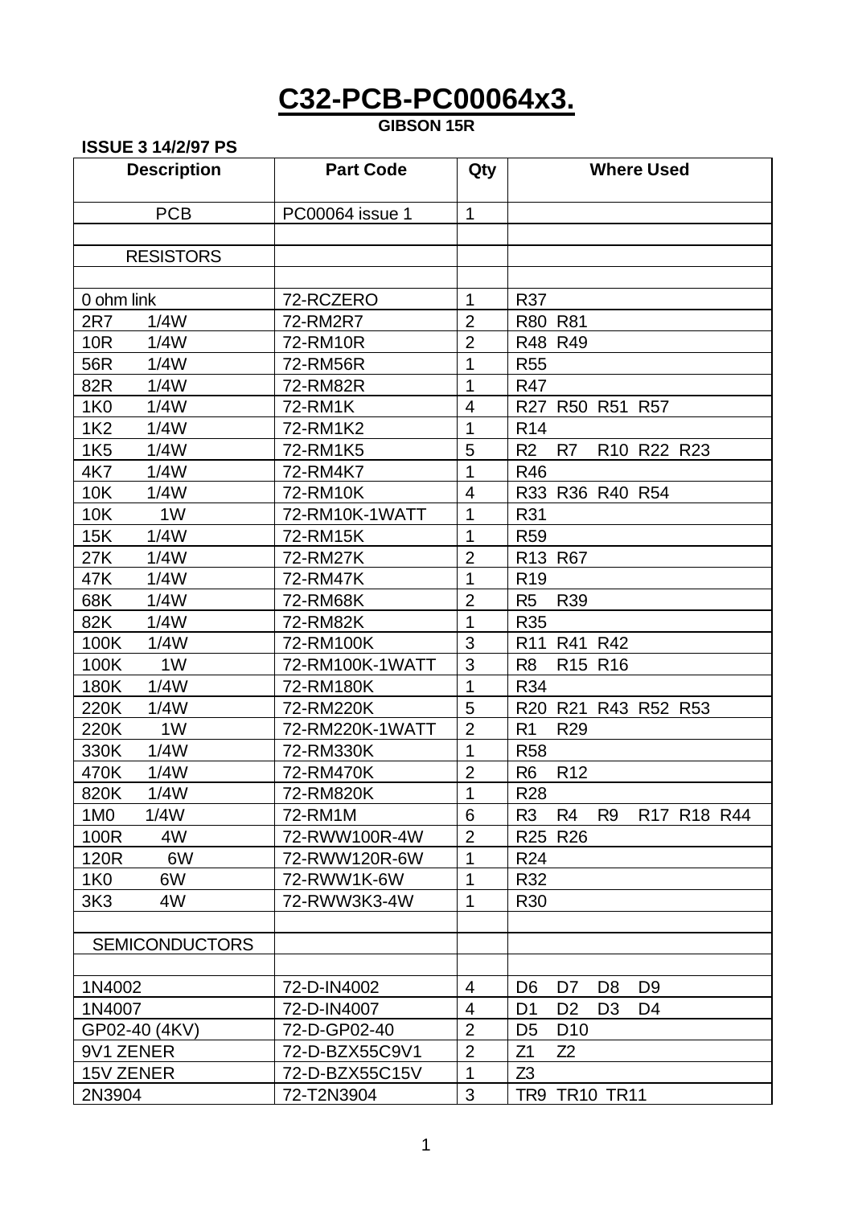## **C32-PCB-PC00064x3.**

#### **GIBSON 15R**

**ISSUE 3 14/2/97 PS**

## **Description Part Code Qty Where Used** PCB | PC00064 issue 1 | 1 RESISTORS 0 ohm link  $72-RCZERO$  1 R37 2R7 1/4W 72-RM2R7 2 R80 R81 10R 1/4W | 72-RM10R | 2 | R48 R49 56R 1/4W | 72-RM56R | 1 | R55 82R 1/4W | 72-RM82R | 1 | R47 1K0 1/4W | 72-RM1K | 4 | R27 R50 R51 R57 1K2 1/4W | 72-RM1K2 | 1 | R14 1K5 1/4W | 72-RM1K5 | 5 | R2 R7 R10 R22 R23 4K7 1/4W | 72-RM4K7 | 1 | R46 10K 1/4W | 72-RM10K | 4 | R33 R36 R40 R54 10K 1W | 72-RM10K-1WATT | 1 | R31 15K 1/4W | 72-RM15K | 1 | R59 27K 1/4W | 72-RM27K | 2 | R13 R67 47K 1/4W | 72-RM47K | 1 | R19 68K 1/4W | 72-RM68K | 2 | R5 R39 82K 1/4W | 72-RM82K | 1 | R35 100K 1/4W | 72-RM100K | 3 | R11 R41 R42 100K 1W | 72-RM100K-1WATT | 3 | R8 R15 R16 180K 1/4W | 72-RM180K | 1 | R34 220K 1/4W | 72-RM220K | 5 | R20 R21 R43 R52 R53 220K 1W 72-RM220K-1WATT 2 R1 R29 330K 1/4W | 72-RM330K | 1 | R58 470K 1/4W | 72-RM470K | 2 | R6 R12 820K 1/4W | 72-RM820K | 1 | R28 1M0 1/4W | 72-RM1M | 6 | R3 R4 R9 R17 R18 R44 100R 4W | 72-RWW100R-4W | 2 | R25 R26 120R 6W 72-RWW120R-6W 1 R24 1K0 6W | 72-RWW1K-6W | 1 | R32 3K3 4W 72-RWW3K3-4W 1 R30 **SEMICONDUCTORS** 1N4002 72-D-IN4002 4 D6 D7 D8 D9 1N4007 72-D-IN4007 4 D1 D2 D3 D4 GP02-40 (4KV) 72-D-GP02-40 2 D5 D10 9V1 ZENER 22-D-BZX55C9V1 2 21 Z1 Z2 15V ZENER 72-D-BZX55C15V 1 Z3 2N3904 72-T2N3904 3 TR9 TR10 TR11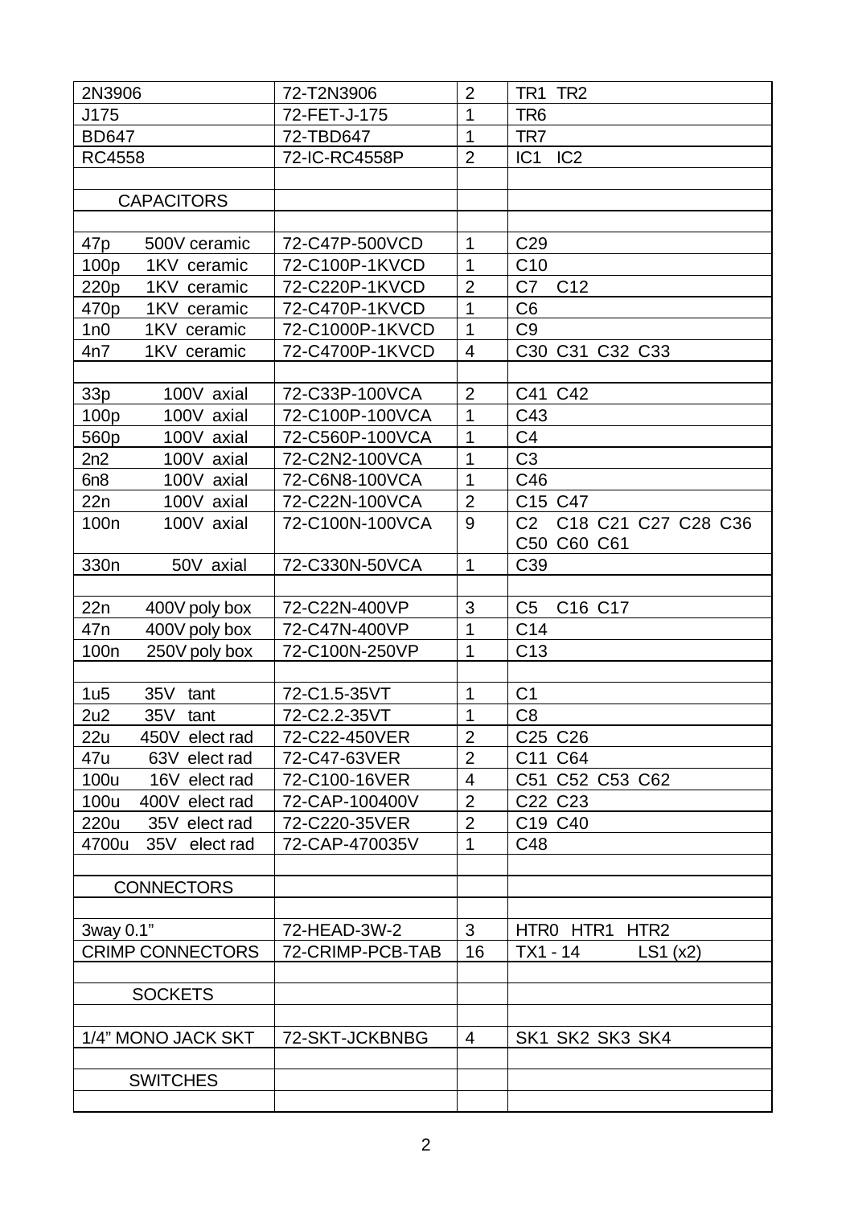| 2N3906                            | 72-T2N3906       | $\overline{2}$ | TR1 TR2                               |
|-----------------------------------|------------------|----------------|---------------------------------------|
| J175                              | 72-FET-J-175     | $\overline{1}$ | TR <sub>6</sub>                       |
| <b>BD647</b>                      | 72-TBD647        | 1              | TR7                                   |
| <b>RC4558</b>                     | 72-IC-RC4558P    | $\overline{2}$ | IC1 IC2                               |
|                                   |                  |                |                                       |
| <b>CAPACITORS</b>                 |                  |                |                                       |
|                                   |                  |                |                                       |
| 47p<br>500V ceramic               | 72-C47P-500VCD   | $\mathbf{1}$   | C <sub>29</sub>                       |
| 100 <sub>p</sub><br>1KV ceramic   | 72-C100P-1KVCD   | $\mathbf{1}$   | C <sub>10</sub>                       |
| 220p<br>1KV ceramic               | 72-C220P-1KVCD   | $\overline{2}$ | C7<br>C <sub>12</sub>                 |
| 1KV ceramic<br>470p               | 72-C470P-1KVCD   | $\overline{1}$ | C <sub>6</sub>                        |
| 1n0<br>1KV ceramic                | 72-C1000P-1KVCD  | $\mathbf{1}$   | C <sub>9</sub>                        |
| 4n7<br>1KV ceramic                | 72-C4700P-1KVCD  | $\overline{4}$ | C30 C31 C32 C33                       |
|                                   |                  |                |                                       |
| 33p<br>100V axial                 | 72-C33P-100VCA   | $\overline{2}$ | C41 C42                               |
| 100p<br>100V axial                | 72-C100P-100VCA  | 1              | C43                                   |
| 560p<br>100V axial                | 72-C560P-100VCA  | $\overline{1}$ | C <sub>4</sub>                        |
| 2n2<br>100V axial                 | 72-C2N2-100VCA   | $\overline{1}$ | C3                                    |
| 6n8<br>100V axial                 | 72-C6N8-100VCA   | $\overline{1}$ | C46                                   |
| 22n<br>100V axial                 | 72-C22N-100VCA   | $\overline{2}$ | C15 C47                               |
| 100 <sub>n</sub><br>100V axial    | 72-C100N-100VCA  | 9              | C <sub>2</sub><br>C18 C21 C27 C28 C36 |
|                                   |                  |                | C50 C60 C61                           |
| 330 <sub>n</sub><br>50V axial     | 72-C330N-50VCA   | $\mathbf{1}$   | C39                                   |
|                                   |                  |                |                                       |
| 22n<br>400V poly box              | 72-C22N-400VP    | 3              | C <sub>5</sub><br>C16 C17             |
| 47 <sub>n</sub><br>400V poly box  | 72-C47N-400VP    | $\mathbf{1}$   | C14                                   |
| 100 <sub>n</sub><br>250V poly box | 72-C100N-250VP   | 1              | C <sub>13</sub>                       |
|                                   |                  |                |                                       |
| 1u5<br>35V tant                   | 72-C1.5-35VT     | 1              | C <sub>1</sub>                        |
| 2u2<br>35V tant                   | 72-C2.2-35VT     | $\overline{1}$ | C <sub>8</sub>                        |
| 22u<br>450V elect rad             | 72-C22-450VER    | $\overline{2}$ | C <sub>25</sub> C <sub>26</sub>       |
| 47u<br>63V elect rad              | 72-C47-63VER     | $\overline{2}$ | C11 C64                               |
| 100u<br>16V elect rad             | 72-C100-16VER    | 4              | C51 C52 C53 C62                       |
| 100u<br>400V elect rad            | 72-CAP-100400V   | $\overline{2}$ | C <sub>22</sub> C <sub>23</sub>       |
| 220u<br>35V elect rad             | 72-C220-35VER    | $\overline{2}$ | C19 C40                               |
| 4700u<br>35V elect rad            | 72-CAP-470035V   | 1              | C48                                   |
|                                   |                  |                |                                       |
| <b>CONNECTORS</b>                 |                  |                |                                       |
|                                   |                  |                |                                       |
| 3way 0.1"                         | 72-HEAD-3W-2     | 3              | HTRO HTR1 HTR2                        |
| <b>CRIMP CONNECTORS</b>           | 72-CRIMP-PCB-TAB | 16             | TX1 - 14<br>LS1(x2)                   |
|                                   |                  |                |                                       |
| <b>SOCKETS</b>                    |                  |                |                                       |
|                                   |                  |                |                                       |
| 1/4" MONO JACK SKT                | 72-SKT-JCKBNBG   | 4              | SK1 SK2 SK3 SK4                       |
|                                   |                  |                |                                       |
| <b>SWITCHES</b>                   |                  |                |                                       |
|                                   |                  |                |                                       |